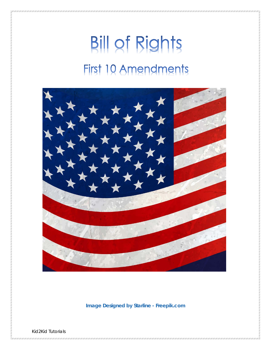# **Bill of Rights** First 10 Amendments



**Image Designed by Starline - Freepik.com**

Kid2Kid Tutorials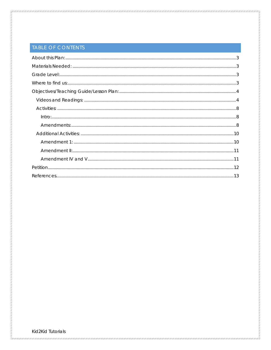## TABLE OF CONTENTS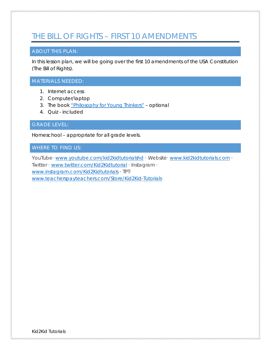# THE BILL OF RIGHTS – FIRST 10 AMENDMENTS

#### <span id="page-2-0"></span>ABOUT THIS PLAN:

In this lesson plan, we will be going over the first 10 amendments of the USA Constitution (The Bill of Rights).

#### <span id="page-2-1"></span>MATERIALS NEEDED:

- 1. Internet access
- 2. Computer/laptop
- 3. The book ["Philosophy for Young Thinkers"](https://www.rfwp.com/series/philosophy-for-young-thinkers-program) optional
- 4. Quiz included

<span id="page-2-2"></span>GRADE LEVEL:

Homeschool – appropriate for all grade levels.

#### <span id="page-2-3"></span>WHERE TO FIND US:

YouTube· www.youtube.com/kid2kidtutorialshd · Website· www.kid2kidtutorials.com · Twitter · www.twitter.com/Kid2Kidtutorial · Instagram · [www.instagram.com/Kid2Kidtutorials](http://www.instagram.com/Kid2Kidtutorials) · TPT· [www.teacherspayteachers.com/Store/Kid2Kid-Tutorials](http://www.teacherspayteachers.com/Store/Kid2Kid-Tutorials)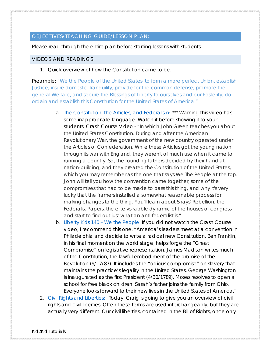#### <span id="page-3-0"></span>OBJECTIVES/TEACHING GUIDE/LESSON PLAN:

Please read through the entire plan before starting lessons with students.

#### <span id="page-3-1"></span>VIDEOS AND READINGS:

1. Quick overview of how the Constitution came to be.

Preamble: "We the People of the United States, to form a more perfect Union, establish Justice, insure domestic Tranquility, provide for the common defense, promote the general Welfare, and secure the Blessings of Liberty to ourselves and our Posterity, do ordain and establish this Constitution for the United States of America."

- a. [The Constitution, the Articles, and Federalism:](https://www.youtube.com/watch?v=bO7FQsCcbD8&t=44s) \*\*\* *Warning this video has some inappropriate language. Watch it before showing it to your students.* Crash Course Video - "In which John Green teaches you about the United States Constitution. During and after the American Revolutionary War, the government of the new country operated under the Articles of Confederation. While these Articles got the young nation through its war with England, they weren't of much use when it came to running a country. So, the founding fathers decided try their hand at nation-building, and they created the Constitution of the United States, which you may remember as the one that says We The People at the top. John will tell you how the convention came together, some of the compromises that had to be made to pass this thing, and why it's very lucky that the framers installed a somewhat reasonable process for making changes to the thing. You'll learn about Shays' Rebellion, the Federalist Papers, the elite vs rabble dynamic of the houses of congress, and start to find out just what an anti-federalist is."
- b. [Liberty Kids 140 –](https://www.youtube.com/watch?v=ZJKaqn2RrQ4) We the People: If you did not watch the Crash Course video, I recommend this one. "America's leaders meet at a convention in Philadelphia and decide to write a radical new Constitution. Ben Franklin, in his final moment on the world stage, helps forge the "Great Compromise" on legislative representation. James Madison writes much of the Constitution, the lawful embodiment of the promise of the Revolution (9/17/87). It includes the "odious compromise" on slavery that maintains the practice's legality in the United States. George Washington is inaugurated as the first President (4/30/1789). Moses resolves to open a school for free black children. Sarah's father joins the family from Ohio. Everyone looks forward to their new lives in the United States of America."
- 2. Civil [Rights and Liberties:](https://www.youtube.com/watch?v=kbwsF-A2sTg&index=23&list=PL8dPuuaLjXtOfse2ncvffeelTrqvhrz8H) "Today, Craig is going to give you an overview of civil rights and civil liberties. Often these terms are used interchangeably, but they are actually very different. Our civil liberties, contained in the Bill of Rights, once only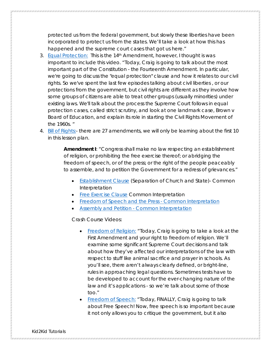protected us from the federal government, but slowly these liberties have been incorporated to protect us from the states. We'll take a look at how this has happened and the supreme court cases that got us here."

- 3. [Equal Protection:](https://www.youtube.com/watch?v=qKK5KVI9_Q8&index=29&list=PL8dPuuaLjXtOfse2ncvffeelTrqvhrz8H) *This is the 14th Amendment, however, I thought is was important to include this video.* "Today, Craig is going to talk about the most important part of the Constitution - the Fourteenth Amendment. In particular, we're going to discuss the "equal protection" clause and how it relates to our civil rights. So we've spent the last few episodes talking about civil liberties , or our protections from the government, but civil rights are different as they involve how some groups of citizens are able to treat other groups (usually minorities) under existing laws. We'll talk about the process the Supreme Court follows in equal protection cases, called strict scrutiny, and look at one landmark case, Brown v Board of Education, and explain its role in starting the Civil Rights Movement of the 1960s. "
- 4. [Bill of Rights:-](https://www.billofrightsinstitute.org/founding-documents/bill-of-rights/) there are 27 amendments, we will only be learning about the first 10 in this lesson plan.

**Amendment I**: "Congress shall make no law respecting an establishment of religion, or prohibiting the free exercise thereof; or abridging the freedom of speech, or of the press; or the right of the people peaceably to assemble, and to petition the Government for a redress of grievances."

- [Establishment Clause](https://constitutioncenter.org/interactive-constitution/amendments/amendment-i/the-establishment-clause-hamilton-and-mcconnell/interp/31) (Separation of Church and State)- Common Interpretation
- [Free Exercise Clause](https://constitutioncenter.org/interactive-constitution/amendments/amendment-i/the-establishment-clause-hamilton-and-mcconnell/interp/31) Common Interpretation
- [Freedom of Speech and the Press -](https://constitutioncenter.org/interactive-constitution/amendments/amendment-i/the-establishment-clause-hamilton-and-mcconnell/interp/31) Common Interpretation
- Assembly and Petition [Common Interpretation](https://constitutioncenter.org/interactive-constitution/amendments/amendment-i/assembly-and-petition-joint/interp/34)

Crash Course Videos:

- [Freedom of Religion:](https://www.youtube.com/watch?v=Y8dI1GTWCk4&index=24&list=PL8dPuuaLjXtOfse2ncvffeelTrqvhrz8H) "Today, Craig is going to take a look at the First Amendment and your right to freedom of religion. We'll examine some significant Supreme Court decisions and talk about how they've affected our interpretations of the law with respect to stuff like animal sacrifice and prayer in schools. As you'll see, there aren't always clearly defined, or bright-line, rules in approaching legal questions. Sometimes tests have to be developed to account for the ever-changing nature of the law and it's applications - so we're talk about some of those too."
- [Freedom of Speech:](https://www.youtube.com/watch?v=Zeeq0qaEaLw&list=PL8dPuuaLjXtOfse2ncvffeelTrqvhrz8H&index=25) "Today, FINALLY, Craig is going to talk about Free Speech! Now, free speech is so important because it not only allows you to critique the government, but it also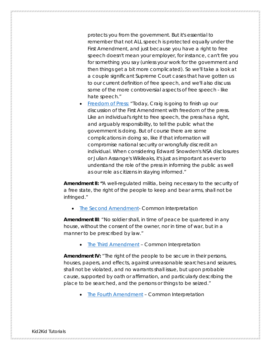protects you from the government. But it's essential to remember that not ALL speech is protected equally under the First Amendment, and just because you have a right to free speech doesn't mean your employer, for instance, can't fire you for something you say (unless your work for the government and then things get a bit more complicated). So we'll take a look at a couple significant Supreme Court cases that have gotten us to our current definition of free speech, and we'll also discuss some of the more controversial aspects of free speech - like hate speech."

• [Freedom of Press:](https://www.youtube.com/watch?v=Vtpd0EbaFoQ&list=PL8dPuuaLjXtOfse2ncvffeelTrqvhrz8H&index=26) "Today, Craig is going to finish up our discussion of the First Amendment with freedom of the press. Like an individual's right to free speech, the press has a right, and arguably responsibility, to tell the public what the government is doing. But of course there are some complications in doing so, like if that information will compromise national security or wrongfully discredit an individual. When considering Edward Snowden's NSA disclosures or Julian Assange's Wikileaks, it's just as important as ever to understand the role of the press in informing the public as well as our role as citizens in staying informed."

**Amendment II: "**A well-regulated militia, being necessary to the security of a free state, the right of the people to keep and bear arms, shall not be infringed."

**[The Second Amendment-](https://constitutioncenter.org/interactive-constitution/amendments/amendment-ii) Common Interpretation** 

**Amendment III**: "No soldier shall, in time of peace be quartered in any house, without the consent of the owner, nor in time of war, but in a manner to be prescribed by law."

**Ihe Third Amendment - Common Interpretation** 

**Amendment IV:** "The right of the people to be secure in their persons, houses, papers, and effects, against unreasonable searches and seizures, shall not be violated, and no warrants shall issue, but upon probable cause, supported by oath or affirmation, and particularly describing the place to be searched, and the persons or things to be seized."

• [The Fourth Amendment](https://constitutioncenter.org/interactive-constitution/amendments/amendment-iv) – Common Interpretation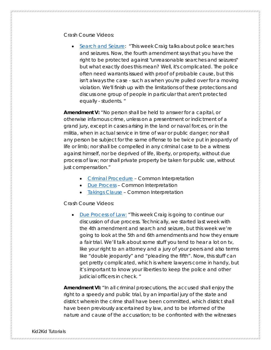Crash Course Videos:

• [Search and Seizure:](https://www.youtube.com/watch?v=_4O1OlGyTuU&index=27&list=PL8dPuuaLjXtOfse2ncvffeelTrqvhrz8H) "This week Craig talks about police searches and seizures. Now, the fourth amendment says that you have the right to be protected against "unreasonable searches and seizures" but what exactly does this mean? Well, it's complicated. The police often need warrants issued with proof of probable cause, but this isn't always the case - such as when you're pulled over for a moving violation. We'll finish up with the limitations of these protections and discuss one group of people in particular that aren't protected equally - students. "

**Amendment V:** "No person shall be held to answer for a capital, or otherwise infamous crime, unless on a presentment or indictment of a grand jury, except in cases arising in the land or naval forces, or in the militia, when in actual service in time of war or public danger; nor shall any person be subject for the same offense to be twice put in jeopardy of life or limb; nor shall be compelled in any criminal case to be a witness against himself, nor be deprived of life, liberty, or property, without due process of law; nor shall private property be taken for public use, without just compensation."

- [Criminal Procedure](https://constitutioncenter.org/interactive-constitution/amendments/amendment-v) Common Interpretation
- [Due Process](https://constitutioncenter.org/interactive-constitution/amendments/amendment-v) Common Interpretation
- [Takings Clause](https://constitutioncenter.org/interactive-constitution/amendments/amendment-v) Common Interpretation

Crash Course Videos:

• [Due Process of Law:](https://www.youtube.com/watch?v=UyHWRXAAgmQ&index=28&list=PL8dPuuaLjXtOfse2ncvffeelTrqvhrz8H) "This week Craig is going to continue our discussion of due process. Technically, we started last week with the 4th amendment and search and seizure, but this week we're going to look at the 5th and 6th amendments and how they ensure a fair trial. We'll talk about some stuff you tend to hear a lot on tv, like your right to an attorney and a jury of your peers and also terms like "double jeopardy" and "pleading the fifth". Now, this stuff can get pretty complicated, which is where lawyers come in handy, but it's important to know your liberties to keep the police and other judicial officers in check. "

**Amendment VI:** "In all criminal prosecutions, the accused shall enjoy the right to a speedy and public trial, by an impartial jury of the state and district wherein the crime shall have been committed, which district shall have been previously ascertained by law, and to be informed of the nature and cause of the accusation; to be confronted with the witnesses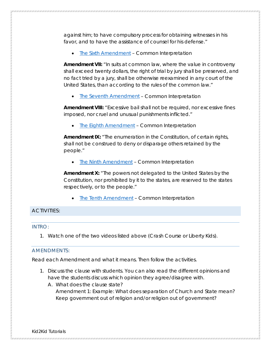against him; to have compulsory process for obtaining witnesses in his favor, and to have the assistance of counsel for his defense."

• [The Sixth Amendment](https://constitutioncenter.org/interactive-constitution/amendments/amendment-vi) – Common Interpretation

**Amendment VII:** "In suits at common law, where the value in controversy shall exceed twenty dollars, the right of trial by jury shall be preserved, and no fact tried by a jury, shall be otherwise reexamined in any court of the United States, than according to the rules of the common law."

**[The Seventh Amendment](https://constitutioncenter.org/interactive-constitution/amendments/amendment-vii) - Common Interpretation** 

**Amendment VIII:** "Excessive bail shall not be required, nor excessive fines imposed, nor cruel and unusual punishments inflicted."

• [The Eighth Amendment](https://constitutioncenter.org/interactive-constitution/amendments/amendment-viii) – Common Interpretation

**Amendment IX:** "The enumeration in the Constitution, of certain rights, shall not be construed to deny or disparage others retained by the people."

**[The Ninth Amendment](https://constitutioncenter.org/interactive-constitution/amendments/amendment-ix) - Common Interpretation** 

**Amendment X:** "The powers not delegated to the United States by the Constitution, nor prohibited by it to the states, are reserved to the states respectively, or to the people."

**[The Tenth Amendment](https://constitutioncenter.org/interactive-constitution/amendments/amendment-x) - Common Interpretation** 

#### <span id="page-7-1"></span><span id="page-7-0"></span>ACTIVITIES:

#### INTRO:

1. Watch one of the two videos listed above (Crash Course or Liberty Kids).

#### <span id="page-7-2"></span>AMENDMENTS:

Read each Amendment and what it means. Then follow the activities.

- 1. Discuss the clause with students. You can also read the different opinions and have the students discuss which opinion they agree/disagree with.
	- A. What does the clause state? Amendment 1: Example: What does separation of Church and State mean? Keep government out of religion and/or religion out of government?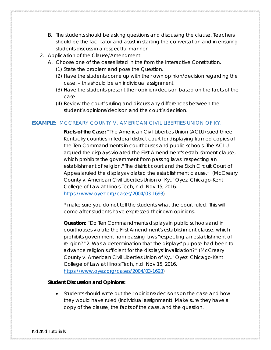- B. The students should be asking questions and discussing the clause. Teachers should be the facilitator and assist in starting the conversation and in ensuring students discuss in a respectful manner.
- 2. Application of the Clause/Amendment:
	- A. Choose one of the cases listed in the from the Interactive Constitution.
		- (1) State the problem and pose the Question.
		- (2) Have the students come up with their own opinion/decision regarding the case. – this should be an individual assignment
		- (3) Have the students present their opinion/decision based on the facts of the case.
		- (4) Review the court's ruling and discuss any differences between the student's opinions/decision and the court's decision.

#### **EXAMPLE:** MCCREARY COUNTY V. AMERICAN CIVIL LIBERTIES UNION OF KY.

**Facts of the Case:** "The American Civil Liberties Union (ACLU) sued three Kentucky counties in federal district court for displaying framed copies of the Ten Commandments in courthouses and public schools. The ACLU argued the displays violated the First Amendment's establishment clause, which prohibits the government from passing laws "respecting an establishment of religion." The district court and the Sixth Circuit Court of Appeals ruled the displays violated the establishment clause." (McCreary County v. American Civil Liberties Union of Ky.." *Oyez.* Chicago-Kent College of Law at Illinois Tech, n.d. Nov 15, 2016. [https://www.oyez.org/cases/2004/03-1693\)](https://www.oyez.org/cases/2004/03-1693)

\* *make sure you do not tell the students what the court ruled. This will come after students have expressed their own opinions.*

**Question:** "Do Ten Commandments displays in public schools and in courthouses violate the First Amendment's establishment clause, which prohibits government from passing laws "respecting an establishment of religion?" 2. Was a determination that the displays' purpose had been to advance religion sufficient for the displays' invalidation?" (McCreary County v. American Civil Liberties Union of Ky.." *Oyez.* Chicago-Kent College of Law at Illinois Tech, n.d. Nov 15, 2016. [https://www.oyez.org/cases/2004/03-1693\)](https://www.oyez.org/cases/2004/03-1693)

#### **Student Discussion and Opinions:**

• Students should write out their opinions/decisions on the case and how they would have ruled (individual assignment). Make sure they have a copy of the clause, the facts of the case, and the question.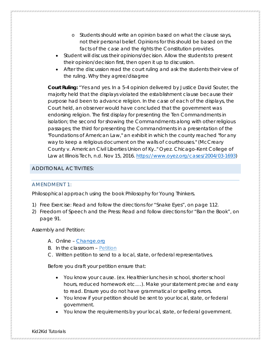- o Students should write an opinion based on what the clause says, not their personal belief. Opinions for this should be based on the facts of the case and the rights the Constitution provides.
- Student will discuss their opinions/decision. Allow the students to present their opinion/decision first, then open it up to discussion.
- After the discussion read the court ruling and ask the students their view of the ruling. Why they agree/disagree

**Court Ruling:** "Yes and yes. In a 5-4 opinion delivered by Justice David Souter, the majority held that the displays violated the establishment clause because their purpose had been to advance religion. In the case of each of the displays, the Court held, an observer would have concluded that the government was endorsing religion. The first display for presenting the Ten Commandments in isolation; the second for showing the Commandments along with other religious passages; the third for presenting the Commandments in a presentation of the "Foundations of American Law," an exhibit in which the county reached "for any way to keep a religious document on the walls of courthouses." (McCreary County v. American Civil Liberties Union of Ky.." *Oyez.* Chicago-Kent College of Law at Illinois Tech, n.d. Nov 15, 2016. [https://www.oyez.org/cases/2004/03-1693\)](https://www.oyez.org/cases/2004/03-1693)

#### <span id="page-9-1"></span><span id="page-9-0"></span>ADDITIONAL ACTIVITIES:

#### AMENDMENT 1:

Philosophical approach *using* the book *Philosophy for Young Thinkers.*

- *1)* Free Exercise: Read and follow the directions for "Snake Eyes", on page 112.
- 2) Freedom of Speech and the Press: Read and follow directions for "Ban the Book", on page 91.

Assembly and Petition:

- A. Online [Change.org](https://www.change.org/)
- B. In the classroom [Petition](#page-11-0)
- C. Written petition to send to a local, state, or federal representatives.

Before you draft your petition ensure that:

- You know your cause. (ex. Healthier lunches in school, shorter school hours, reduced homework etc.…). Make your statement precise and easy to read. Ensure you do not have grammatical or spelling errors.
- You know if your petition should be sent to your local, state, or federal government.
- You know the requirements by your local, state, or federal government.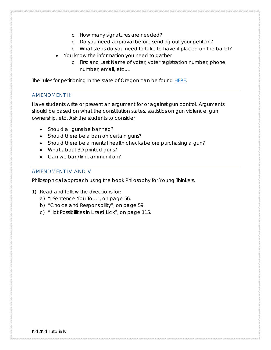- o How many signatures are needed?
- o Do you need approval before sending out your petition?
- o What steps do you need to take to have it placed on the ballot?
- You know the information you need to gather
	- o First and Last Name of voter, voter registration number, phone number, email, etc.…

The rules for petitioning in the state of Oregon can be found [HERE.](http://sos.oregon.gov/elections/Pages/statelaw.aspx)

#### <span id="page-10-0"></span>AMENDMENT II:

Have students write or present an argument for or against gun control. Arguments should be based on what the constitution states, statistics on gun violence, gun ownership, etc. Ask the students to consider

- Should all guns be banned?
- Should there be a ban on certain guns?
- Should there be a mental health checks before purchasing a gun?
- What about 3D printed guns?
- Can we ban/limit ammunition?

#### <span id="page-10-1"></span>AMENDMENT IV AND V

Philosophical approach *using* the book *Philosophy for Young Thinkers.*

- *1)* Read and follow the directions for:
	- a) "I Sentence You To…", on page 56.
	- b) "Choice and Responsibility", on page 59.
	- c) "Hot Possibilities in Lizard Lick", on page 115.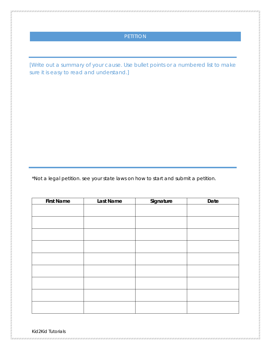### PETITION

<span id="page-11-0"></span>*[Write out a summary of your cause. Use bullet points or a numbered list to make sure it is easy to read and understand.]*

\*Not a legal petition. see your state laws on how to start and submit a petition.

| <b>First Name</b> | Last Name | Signature | Date |
|-------------------|-----------|-----------|------|
|                   |           |           |      |
|                   |           |           |      |
|                   |           |           |      |
|                   |           |           |      |
|                   |           |           |      |
|                   |           |           |      |
|                   |           |           |      |
|                   |           |           |      |
|                   |           |           |      |
|                   |           |           |      |

Kid2Kid Tutorials